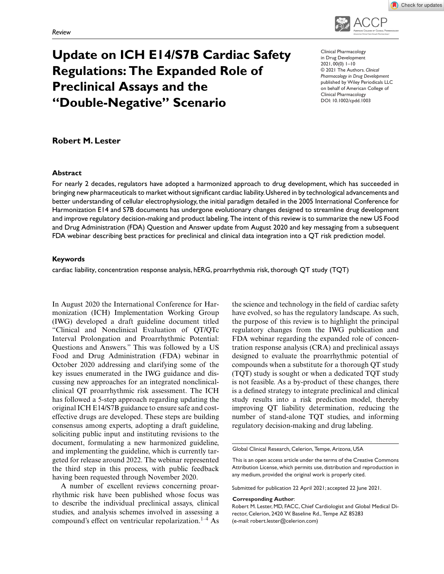

# **Update on ICH E14/S7B Cardiac Safety Regulations: The Expanded Role of Preclinical Assays and the "Double-Negative" Scenario**

Clinical Pharmacology in Drug Development 2021, 00(0) 1–10 © 2021 The Authors. *Clinical Pharmacology in Drug Development* published by Wiley Periodicals LLC on behalf of American College of Clinical Pharmacology DOI: 10.1002/cpdd.1003

## **Robert M. Lester**

#### **Abstract**

For nearly 2 decades, regulators have adopted a harmonized approach to drug development, which has succeeded in bringing new pharmaceuticals to market without significant cardiac liability.Ushered in by technological advancements and better understanding of cellular electrophysiology, the initial paradigm detailed in the 2005 International Conference for Harmonization E14 and S7B documents has undergone evolutionary changes designed to streamline drug development and improve regulatory decision-making and product labeling.The intent of this review is to summarize the new US Food and Drug Administration (FDA) Question and Answer update from August 2020 and key messaging from a subsequent FDA webinar describing best practices for preclinical and clinical data integration into a QT risk prediction model.

#### **Keywords**

cardiac liability, concentration response analysis, hERG, proarrhythmia risk, thorough QT study (TQT)

In August 2020 the International Conference for Harmonization (ICH) Implementation Working Group (IWG) developed a draft guideline document titled "Clinical and Nonclinical Evaluation of QT/QTc Interval Prolongation and Proarrhythmic Potential: Questions and Answers." This was followed by a US Food and Drug Administration (FDA) webinar in October 2020 addressing and clarifying some of the key issues enumerated in the IWG guidance and discussing new approaches for an integrated nonclinicalclinical QT proarrhythmic risk assessment. The ICH has followed a 5-step approach regarding updating the original ICH E14/S7B guidance to ensure safe and costeffective drugs are developed. These steps are building consensus among experts, adopting a draft guideline, soliciting public input and instituting revisions to the document, formulating a new harmonized guideline, and implementing the guideline, which is currently targeted for release around 2022. The webinar represented the third step in this process, with public feedback having been requested through November 2020.

A number of excellent reviews concerning proarrhythmic risk have been published whose focus was to describe the individual preclinical assays, clinical studies, and analysis schemes involved in assessing a compound's effect on ventricular repolarization.<sup>1–4</sup> As

the science and technology in the field of cardiac safety have evolved, so has the regulatory landscape. As such, the purpose of this review is to highlight the principal regulatory changes from the IWG publication and FDA webinar regarding the expanded role of concentration response analysis (CRA) and preclinical assays designed to evaluate the proarrhythmic potential of compounds when a substitute for a thorough QT study (TQT) study is sought or when a dedicated TQT study is not feasible. As a by-product of these changes, there is a defined strategy to integrate preclinical and clinical study results into a risk prediction model, thereby improving QT liability determination, reducing the number of stand-alone TQT studies, and informing regulatory decision-making and drug labeling.

Submitted for publication 22 April 2021; accepted 22 June 2021.

#### **Corresponding Author**:

Robert M. Lester, MD, FACC, Chief Cardiologist and Global Medical Director, Celerion, 2420 W. Baseline Rd., Tempe AZ 85283 (e-mail: robert.lester@celerion.com)

Global Clinical Research, Celerion, Tempe, Arizona, USA

This is an open access article under the terms of the [Creative Commons](http://creativecommons.org/licenses/by/4.0/) [Attribution](http://creativecommons.org/licenses/by/4.0/) License, which permits use, distribution and reproduction in any medium, provided the original work is properly cited.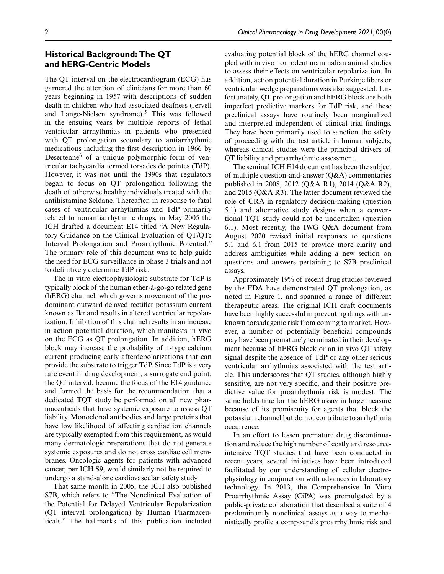## **Historical Background: The QT and hERG-Centric Models**

The QT interval on the electrocardiogram (ECG) has garnered the attention of clinicians for more than 60 years beginning in 1957 with descriptions of sudden death in children who had associated deafness (Jervell and Lange-Nielsen syndrome).<sup>5</sup> This was followed in the ensuing years by multiple reports of lethal ventricular arrhythmias in patients who presented with QT prolongation secondary to antiarrhythmic medications including the first description in 1966 by Desertenne<sup>6</sup> of a unique polymorphic form of ventricular tachycardia termed torsades de pointes (TdP). However, it was not until the 1990s that regulators began to focus on QT prolongation following the death of otherwise healthy individuals treated with the antihistamine Seldane. Thereafter, in response to fatal cases of ventricular arrhythmias and TdP primarily related to nonantiarrhythmic drugs, in May 2005 the ICH drafted a document E14 titled "A New Regulatory Guidance on the Clinical Evaluation of QT/QTc Interval Prolongation and Proarrhythmic Potential." The primary role of this document was to help guide the need for ECG surveillance in phase 3 trials and not to definitively determine TdP risk.

The in vitro electrophysiologic substrate for TdP is typically block of the human ether-à-go-go related gene (hERG) channel, which governs movement of the predominant outward delayed rectifier potassium current known as Ikr and results in altered ventricular repolarization. Inhibition of this channel results in an increase in action potential duration, which manifests in vivo on the ECG as QT prolongation. In addition, hERG block may increase the probability of L-type calcium current producing early afterdepolarizations that can provide the substrate to trigger TdP. Since TdP is a very rare event in drug development, a surrogate end point, the QT interval, became the focus of the E14 guidance and formed the basis for the recommendation that a dedicated TQT study be performed on all new pharmaceuticals that have systemic exposure to assess QT liability. Monoclonal antibodies and large proteins that have low likelihood of affecting cardiac ion channels are typically exempted from this requirement, as would many dermatologic preparations that do not generate systemic exposures and do not cross cardiac cell membranes. Oncologic agents for patients with advanced cancer, per ICH S9, would similarly not be required to undergo a stand-alone cardiovascular safety study

That same month in 2005, the ICH also published S7B, which refers to "The Nonclinical Evaluation of the Potential for Delayed Ventricular Repolarization (QT interval prolongation) by Human Pharmaceuticals." The hallmarks of this publication included evaluating potential block of the hERG channel coupled with in vivo nonrodent mammalian animal studies to assess their effects on ventricular repolarization. In addition, action potential duration in Purkinje fibers or ventricular wedge preparations was also suggested. Unfortunately, QT prolongation and hERG block are both imperfect predictive markers for TdP risk, and these preclinical assays have routinely been marginalized and interpreted independent of clinical trial findings. They have been primarily used to sanction the safety of proceeding with the test article in human subjects, whereas clinical studies were the principal drivers of QT liability and proarrhythmic assessment.

The seminal ICH E14 document has been the subject of multiple question-and-answer  $(Q&A)$  commentaries published in 2008, 2012 (Q&A R1), 2014 (Q&A R2), and 2015 (Q&A R3). The latter document reviewed the role of CRA in regulatory decision-making (question 5.1) and alternative study designs when a conventional TQT study could not be undertaken (question 6.1). Most recently, the IWG Q&A document from August 2020 revised initial responses to questions 5.1 and 6.1 from 2015 to provide more clarity and address ambiguities while adding a new section on questions and answers pertaining to S7B preclinical assays.

Approximately 19% of recent drug studies reviewed by the FDA have demonstrated QT prolongation, as noted in Figure 1, and spanned a range of different therapeutic areas. The original ICH draft documents have been highly successful in preventing drugs with unknown torsadagenic risk from coming to market. However, a number of potentially beneficial compounds may have been prematurely terminated in their development because of hERG block or an in vivo QT safety signal despite the absence of TdP or any other serious ventricular arrhythmias associated with the test article. This underscores that QT studies, although highly sensitive, are not very specific, and their positive predictive value for proarrhythmia risk is modest. The same holds true for the hERG assay in large measure because of its promiscuity for agents that block the potassium channel but do not contribute to arrhythmia occurrence.

In an effort to lessen premature drug discontinuation and reduce the high number of costly and resourceintensive TQT studies that have been conducted in recent years, several initiatives have been introduced facilitated by our understanding of cellular electrophysiology in conjunction with advances in laboratory technology. In 2013, the Comprehensive In Vitro Proarrhythmic Assay (CiPA) was promulgated by a public-private collaboration that described a suite of 4 predominantly nonclinical assays as a way to mechanistically profile a compound's proarrhythmic risk and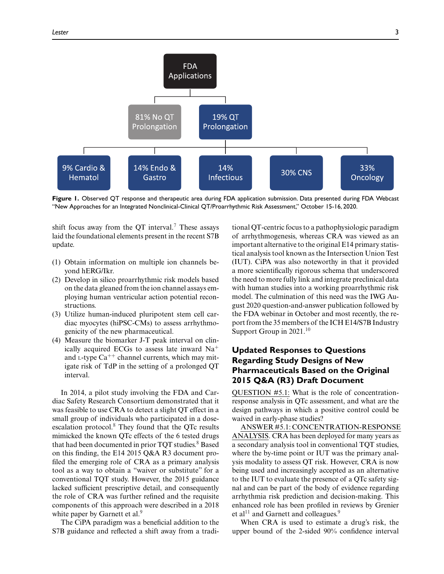

**Figure 1.** Observed QT response and therapeutic area during FDA application submission. Data presented during FDA Webcast "New Approaches for an Integrated Nonclinical-Clinical QT/Proarrhythmic Risk Assessment," October 15-16, 2020.

shift focus away from the QT interval.<sup>7</sup> These assays laid the foundational elements present in the recent S7B update.

- (1) Obtain information on multiple ion channels beyond hERG/Ikr.
- (2) Develop in silico proarrhythmic risk models based on the data gleaned from the ion channel assays employing human ventricular action potential reconstructions.
- (3) Utilize human-induced pluripotent stem cell cardiac myocytes (hiPSC-CMs) to assess arrhythmogenicity of the new pharmaceutical.
- (4) Measure the biomarker J-T peak interval on clinically acquired ECGs to assess late inward  $Na<sup>+</sup>$ and  $L$ -type  $Ca^{++}$  channel currents, which may mitigate risk of TdP in the setting of a prolonged QT interval.

In 2014, a pilot study involving the FDA and Cardiac Safety Research Consortium demonstrated that it was feasible to use CRA to detect a slight QT effect in a small group of individuals who participated in a doseescalation protocol.<sup>8</sup> They found that the QTc results mimicked the known QTc effects of the 6 tested drugs that had been documented in prior TQT studies.<sup>8</sup> Based on this finding, the E14 2015 Q&A R3 document profiled the emerging role of CRA as a primary analysis tool as a way to obtain a "waiver or substitute" for a conventional TQT study. However, the 2015 guidance lacked sufficient prescriptive detail, and consequently the role of CRA was further refined and the requisite components of this approach were described in a 2018 white paper by Garnett et al.<sup>9</sup>

The CiPA paradigm was a beneficial addition to the S7B guidance and reflected a shift away from a tradi-

tional QT-centric focus to a pathophysiologic paradigm of arrhythmogenesis, whereas CRA was viewed as an important alternative to the original E14 primary statistical analysis tool known as the Intersection Union Test (IUT). CiPA was also noteworthy in that it provided a more scientifically rigorous schema that underscored the need to more fully link and integrate preclinical data with human studies into a working proarrhythmic risk model. The culmination of this need was the IWG August 2020 question-and-answer publication followed by the FDA webinar in October and most recently, the report from the 35 members of the ICH E14/S7B Industry Support Group in  $2021$ .<sup>10</sup>

# **Updated Responses to Questions Regarding Study Designs of New Pharmaceuticals Based on the Original 2015 Q&A (R3) Draft Document**

QUESTION #5.1: What is the role of concentrationresponse analysis in QTc assessment, and what are the design pathways in which a positive control could be waived in early-phase studies?

ANSWER #5.1: CONCENTRATION-RESPONSE ANALYSIS. CRA has been deployed for many years as a secondary analysis tool in conventional TQT studies, where the by-time point or IUT was the primary analysis modality to assess QT risk. However, CRA is now being used and increasingly accepted as an alternative to the IUT to evaluate the presence of a QTc safety signal and can be part of the body of evidence regarding arrhythmia risk prediction and decision-making. This enhanced role has been profiled in reviews by Grenier et al<sup>11</sup> and Garnett and colleagues.<sup>9</sup>

When CRA is used to estimate a drug's risk, the upper bound of the 2-sided 90% confidence interval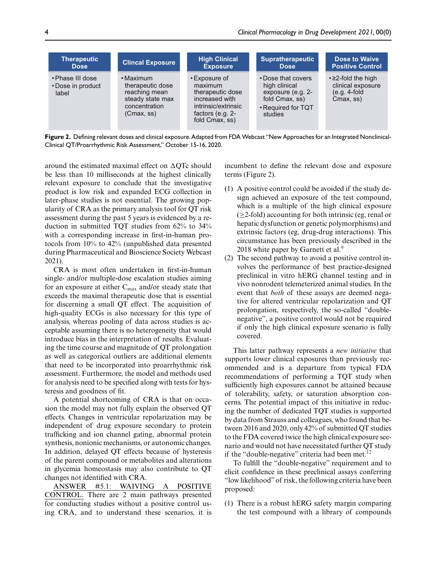| <b>Therapeutic</b>                             | <b>Clincal Exposure</b>                                                                                 | <b>High Clinical</b>                                                                                                          | <b>Supratherapeutic</b>                                                                                     | Dose to Waive                                                                      |
|------------------------------------------------|---------------------------------------------------------------------------------------------------------|-------------------------------------------------------------------------------------------------------------------------------|-------------------------------------------------------------------------------------------------------------|------------------------------------------------------------------------------------|
| <b>Dose</b>                                    |                                                                                                         | <b>Exposure</b>                                                                                                               | <b>Dose</b>                                                                                                 | <b>Positive Control</b>                                                            |
| • Phase III dose<br>• Dose in product<br>label | $\cdot$ Maximum<br>therapeutic dose<br>reaching mean<br>steady state max<br>concentration<br>(Cmax, ss) | • Exposure of<br>maximum<br>therapeutic dose<br>increased with<br>intrinsic/extrinsic<br>factors (e.g. $2-$<br>fold Cmax, ss) | • Dose that covers<br>high clinical<br>exposure (e.g. 2-<br>fold Cmax, ss)<br>• Required for TQT<br>studies | $\cdot$ $\geq$ 2-fold the high<br>clinical exposure<br>$(e.q. 4-fold$<br>Cmax, ss) |

**Figure 2.** Defining relevant doses and clinical exposure.Adapted from FDA Webcast "New Approaches for an Integrated Nonclinical-Clinical QT/Proarrhythmic Risk Assessment," October 15-16, 2020.

around the estimated maximal effect on  $\Delta$ QTc should be less than 10 milliseconds at the highest clinically relevant exposure to conclude that the investigative product is low risk and expanded ECG collection in later-phase studies is not essential. The growing popularity of CRA as the primary analysis tool for QT risk assessment during the past 5 years is evidenced by a reduction in submitted TQT studies from 62% to 34% with a corresponding increase in first-in-human protocols from 10% to 42% (unpublished data presented during Pharmaceutical and Bioscience Society Webcast 2021).

CRA is most often undertaken in first-in-human single- and/or multiple-dose escalation studies aiming for an exposure at either C<sub>max</sub> and/or steady state that exceeds the maximal therapeutic dose that is essential for discerning a small QT effect. The acquisition of high-quality ECGs is also necessary for this type of analysis, whereas pooling of data across studies is acceptable assuming there is no heterogeneity that would introduce bias in the interpretation of results. Evaluating the time course and magnitude of QT prolongation as well as categorical outliers are additional elements that need to be incorporated into proarrhythmic risk assessment. Furthermore, the model and methods used for analysis need to be specified along with tests for hysteresis and goodness of fit.

A potential shortcoming of CRA is that on occasion the model may not fully explain the observed QT effects. Changes in ventricular repolarization may be independent of drug exposure secondary to protein trafficking and ion channel gating, abnormal protein synthesis, nonionic mechanisms, or autonomic changes. In addition, delayed QT effects because of hysteresis of the parent compound or metabolites and alterations in glycemia homeostasis may also contribute to QT changes not identified with CRA.

ANSWER #5.1: WAIVING A POSITIVE CONTROL. There are 2 main pathways presented for conducting studies without a positive control using CRA, and to understand these scenarios, it is incumbent to define the relevant dose and exposure terms (Figure 2).

- (1) A positive control could be avoided if the study design achieved an exposure of the test compound, which is a multiple of the high clinical exposure  $(\geq 2$ -fold) accounting for both intrinsic (eg, renal or hepatic dysfunction or genetic polymorphisms) and extrinsic factors (eg, drug-drug interactions). This circumstance has been previously described in the 2018 white paper by Garnett et al. $9$
- (2) The second pathway to avoid a positive control involves the performance of best practice-designed preclinical in vitro hERG channel testing and in vivo nonrodent telemeterized animal studies. In the event that *both* of these assays are deemed negative for altered ventricular repolarization and QT prolongation, respectively, the so-called "doublenegative", a positive control would not be required if only the high clinical exposure scenario is fully covered.

This latter pathway represents a *new initiative* that supports lower clinical exposures than previously recommended and is a departure from typical FDA recommendations of performing a TQT study when sufficiently high exposures cannot be attained because of tolerability, safety, or saturation absorption concerns. The potential impact of this initiative in reducing the number of dedicated TQT studies is supported by data from Strauss and colleagues, who found that between 2016 and 2020, only 42% of submitted QT studies to the FDA covered twice the high clinical exposure scenario and would not have necessitated further QT study if the "double-negative" criteria had been met. $^{12}$ 

To fulfill the "double-negative" requirement and to elicit confidence in these preclinical assays conferring "low likelihood" of risk, the following criteria have been proposed:

(1) There is a robust hERG safety margin comparing the test compound with a library of compounds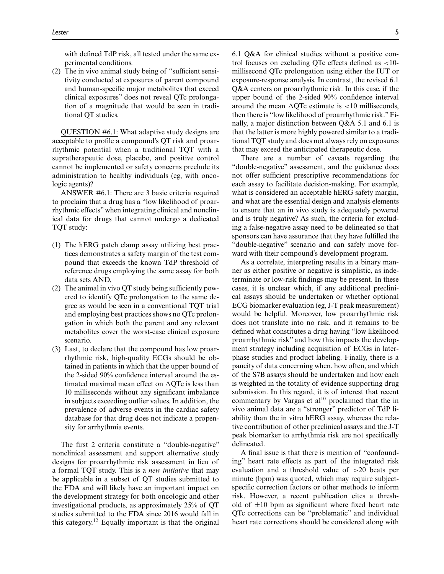with defined TdP risk, all tested under the same experimental conditions.

(2) The in vivo animal study being of "sufficient sensitivity conducted at exposures of parent compound and human-specific major metabolites that exceed clinical exposures" does not reveal QTc prolongation of a magnitude that would be seen in traditional QT studies.

QUESTION #6.1: What adaptive study designs are acceptable to profile a compound's QT risk and proarrhythmic potential when a traditional TQT with a supratherapeutic dose, placebo, and positive control cannot be implemented or safety concerns preclude its administration to healthy individuals (eg, with oncologic agents)?

ANSWER #6.1: There are 3 basic criteria required to proclaim that a drug has a "low likelihood of proarrhythmic effects" when integrating clinical and nonclinical data for drugs that cannot undergo a dedicated TQT study:

- (1) The hERG patch clamp assay utilizing best practices demonstrates a safety margin of the test compound that exceeds the known TdP threshold of reference drugs employing the same assay for both data sets AND,
- (2) The animal in vivo QT study being sufficiently powered to identify QTc prolongation to the same degree as would be seen in a conventional TQT trial and employing best practices shows no QTc prolongation in which both the parent and any relevant metabolites cover the worst-case clinical exposure scenario.
- (3) Last, to declare that the compound has low proarrhythmic risk, high-quality ECGs should be obtained in patients in which that the upper bound of the 2-sided 90% confidence interval around the estimated maximal mean effect on  $\Delta$ QTc is less than 10 milliseconds without any significant imbalance in subjects exceeding outlier values. In addition, the prevalence of adverse events in the cardiac safety database for that drug does not indicate a propensity for arrhythmia events.

The first 2 criteria constitute a "double-negative" nonclinical assessment and support alternative study designs for proarrhythmic risk assessment in lieu of a formal TQT study. This is a *new initiative* that may be applicable in a subset of QT studies submitted to the FDA and will likely have an important impact on the development strategy for both oncologic and other investigational products, as approximately 25% of QT studies submitted to the FDA since 2016 would fall in this category.<sup>12</sup> Equally important is that the original 6.1 Q&A for clinical studies without a positive control focuses on excluding QTc effects defined as <10 millisecond QTc prolongation using either the IUT or exposure-response analysis. In contrast, the revised 6.1 Q&A centers on proarrhythmic risk. In this case, if the upper bound of the 2-sided 90% confidence interval around the mean  $\Delta$ QTc estimate is <10 milliseconds, then there is "low likelihood of proarrhythmic risk."Finally, a major distinction between Q&A 5.1 and 6.1 is that the latter is more highly powered similar to a traditional TQT study and does not always rely on exposures that may exceed the anticipated therapeutic dose.

There are a number of caveats regarding the "double-negative" assessment, and the guidance does not offer sufficient prescriptive recommendations for each assay to facilitate decision-making. For example, what is considered an acceptable hERG safety margin, and what are the essential design and analysis elements to ensure that an in vivo study is adequately powered and is truly negative? As such, the criteria for excluding a false-negative assay need to be delineated so that sponsors can have assurance that they have fulfilled the "double-negative" scenario and can safely move forward with their compound's development program.

As a correlate, interpreting results in a binary manner as either positive or negative is simplistic, as indeterminate or low-risk findings may be present. In these cases, it is unclear which, if any additional preclinical assays should be undertaken or whether optional ECG biomarker evaluation (eg, J-T peak measurement) would be helpful. Moreover, low proarrhythmic risk does not translate into no risk, and it remains to be defined what constitutes a drug having "low likelihood proarrhythmic risk" and how this impacts the development strategy including acquisition of ECGs in laterphase studies and product labeling. Finally, there is a paucity of data concerning when, how often, and which of the S7B assays should be undertaken and how each is weighted in the totality of evidence supporting drug submission. In this regard, it is of interest that recent commentary by Vargas et  $al^{10}$  proclaimed that the in vivo animal data are a "stronger" predictor of TdP liability than the in vitro hERG assay, whereas the relative contribution of other preclinical assays and the J-T peak biomarker to arrhythmia risk are not specifically delineated.

A final issue is that there is mention of "confounding" heart rate effects as part of the integrated risk evaluation and a threshold value of >20 beats per minute (bpm) was quoted, which may require subjectspecific correction factors or other methods to inform risk. However, a recent publication cites a threshold of  $\pm 10$  bpm as significant where fixed heart rate QTc corrections can be "problematic" and individual heart rate corrections should be considered along with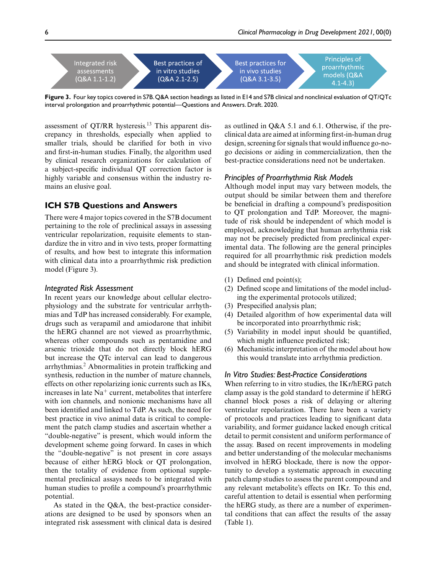

**Figure 3.** Four key topics covered in S7B.Q&A section headings as listed in E14 and S7B clinical and nonclinical evaluation of QT/QTc interval prolongation and proarrhythmic potential—Questions and Answers. Draft. 2020.

assessment of QT/RR hysteresis.<sup>13</sup> This apparent discrepancy in thresholds, especially when applied to smaller trials, should be clarified for both in vivo and first-in-human studies. Finally, the algorithm used by clinical research organizations for calculation of a subject-specific individual QT correction factor is highly variable and consensus within the industry remains an elusive goal.

## **ICH S7B Questions and Answers**

There were 4 major topics covered in the S7B document pertaining to the role of preclinical assays in assessing ventricular repolarization, requisite elements to standardize the in vitro and in vivo tests, proper formatting of results, and how best to integrate this information with clinical data into a proarrhythmic risk prediction model (Figure 3).

#### *Integrated Risk Assessment*

In recent years our knowledge about cellular electrophysiology and the substrate for ventricular arrhythmias and TdP has increased considerably. For example, drugs such as verapamil and amiodarone that inhibit the hERG channel are not viewed as proarrhythmic, whereas other compounds such as pentamidine and arsenic trioxide that do not directly block hERG but increase the QTc interval can lead to dangerous arrhythmias.<sup>2</sup> Abnormalities in protein trafficking and synthesis, reduction in the number of mature channels, effects on other repolarizing ionic currents such as IKs, increases in late  $Na<sup>+</sup>$  current, metabolites that interfere with ion channels, and nonionic mechanisms have all been identified and linked to TdP. As such, the need for best practice in vivo animal data is critical to complement the patch clamp studies and ascertain whether a "double-negative" is present, which would inform the development scheme going forward. In cases in which the "double-negative" is not present in core assays because of either hERG block or QT prolongation, then the totality of evidence from optional supplemental preclinical assays needs to be integrated with human studies to profile a compound's proarrhythmic potential.

As stated in the Q&A, the best-practice considerations are designed to be used by sponsors when an integrated risk assessment with clinical data is desired

as outlined in Q&A 5.1 and 6.1. Otherwise, if the preclinical data are aimed at informing first-in-human drug design, screening for signals that would influence go-nogo decisions or aiding in commercialization, then the best-practice considerations need not be undertaken.

### *Principles of Proarrhythmia Risk Models*

Although model input may vary between models, the output should be similar between them and therefore be beneficial in drafting a compound's predisposition to QT prolongation and TdP. Moreover, the magnitude of risk should be independent of which model is employed, acknowledging that human arrhythmia risk may not be precisely predicted from preclinical experimental data. The following are the general principles required for all proarrhythmic risk prediction models and should be integrated with clinical information.

- (1) Defined end point(s);
- (2) Defined scope and limitations of the model including the experimental protocols utilized;
- (3) Prespecified analysis plan;
- (4) Detailed algorithm of how experimental data will be incorporated into proarrhythmic risk;
- (5) Variability in model input should be quantified, which might influence predicted risk;
- (6) Mechanistic interpretation of the model about how this would translate into arrhythmia prediction.

## *In Vitro Studies: Best-Practice Considerations*

When referring to in vitro studies, the IKr/hERG patch clamp assay is the gold standard to determine if hERG channel block poses a risk of delaying or altering ventricular repolarization. There have been a variety of protocols and practices leading to significant data variability, and former guidance lacked enough critical detail to permit consistent and uniform performance of the assay. Based on recent improvements in modeling and better understanding of the molecular mechanisms involved in hERG blockade, there is now the opportunity to develop a systematic approach in executing patch clamp studies to assess the parent compound and any relevant metabolite's effects on IKr. To this end, careful attention to detail is essential when performing the hERG study, as there are a number of experimental conditions that can affect the results of the assay (Table 1).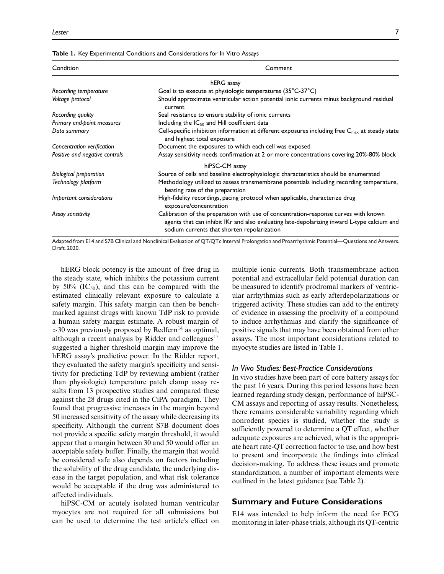#### **Table 1.** Key Experimental Conditions and Considerations for In Vitro Assays

| Condition                      | Comment                                                                                                                                                                                                                           |  |  |
|--------------------------------|-----------------------------------------------------------------------------------------------------------------------------------------------------------------------------------------------------------------------------------|--|--|
|                                | hERG assay                                                                                                                                                                                                                        |  |  |
| Recording temperature          | Goal is to execute at physiologic temperatures $(35^{\circ}C-37^{\circ}C)$                                                                                                                                                        |  |  |
| Voltage protocol               | Should approximate ventricular action potential ionic currents minus background residual<br>current                                                                                                                               |  |  |
| Recording quality              | Seal resistance to ensure stability of ionic currents                                                                                                                                                                             |  |  |
| Primary end-point measures     | Including the $IC_{50}$ and Hill coefficient data                                                                                                                                                                                 |  |  |
| Data summary                   | Cell-specific inhibition information at different exposures including free $C_{\text{max}}$ at steady state<br>and highest total exposure                                                                                         |  |  |
| Concentration verification     | Document the exposures to which each cell was exposed                                                                                                                                                                             |  |  |
| Positive and negative controls | Assay sensitivity needs confirmation at 2 or more concentrations covering 20%-80% block                                                                                                                                           |  |  |
|                                | hiPSC-CM assay                                                                                                                                                                                                                    |  |  |
| <b>Biological preparation</b>  | Source of cells and baseline electrophysiologic characteristics should be enumerated                                                                                                                                              |  |  |
| Technology platform            | Methodology utilized to assess transmembrane potentials including recording temperature,<br>beating rate of the preparation                                                                                                       |  |  |
| Important considerations       | High-fidelity recordings, pacing protocol when applicable, characterize drug<br>exposure/concentration                                                                                                                            |  |  |
| Assay sensitivity              | Calibration of the preparation with use of concentration-response curves with known<br>agents that can inhibit IKr and also evaluating late-depolarizing inward L-type calcium and<br>sodium currents that shorten repolarization |  |  |

Adapted from E14 and S7B Clinical and Nonclinical Evaluation of QT/QTc Interval Prolongation and Proarrhythmic Potential—Questions and Answers. Draft. 2020.

hERG block potency is the amount of free drug in the steady state, which inhibits the potassium current by 50%  $(IC_{50})$ , and this can be compared with the estimated clinically relevant exposure to calculate a safety margin. This safety margin can then be benchmarked against drugs with known TdP risk to provide a human safety margin estimate. A robust margin of  $>$ 30 was previously proposed by Redfern<sup>14</sup> as optimal, although a recent analysis by Ridder and colleagues<sup>15</sup> suggested a higher threshold margin may improve the hERG assay's predictive power. In the Ridder report, they evaluated the safety margin's specificity and sensitivity for predicting TdP by reviewing ambient (rather than physiologic) temperature patch clamp assay results from 13 prospective studies and compared these against the 28 drugs cited in the CiPA paradigm. They found that progressive increases in the margin beyond 50 increased sensitivity of the assay while decreasing its specificity. Although the current S7B document does not provide a specific safety margin threshold, it would appear that a margin between 30 and 50 would offer an acceptable safety buffer. Finally, the margin that would be considered safe also depends on factors including the solubility of the drug candidate, the underlying disease in the target population, and what risk tolerance would be acceptable if the drug was administered to affected individuals.

hiPSC-CM or acutely isolated human ventricular myocytes are not required for all submissions but can be used to determine the test article's effect on

multiple ionic currents. Both transmembrane action potential and extracellular field potential duration can be measured to identify prodromal markers of ventricular arrhythmias such as early afterdepolarizations or triggered activity. These studies can add to the entirety of evidence in assessing the proclivity of a compound to induce arrhythmias and clarify the significance of positive signals that may have been obtained from other assays. The most important considerations related to myocyte studies are listed in Table 1.

#### *In Vivo Studies: Best-Practice Considerations*

In vivo studies have been part of core battery assays for the past 16 years. During this period lessons have been learned regarding study design, performance of hiPSC-CM assays and reporting of assay results. Nonetheless, there remains considerable variability regarding which nonrodent species is studied, whether the study is sufficiently powered to determine a QT effect, whether adequate exposures are achieved, what is the appropriate heart rate-QT correction factor to use, and how best to present and incorporate the findings into clinical decision-making. To address these issues and promote standardization, a number of important elements were outlined in the latest guidance (see Table 2).

### **Summary and Future Considerations**

E14 was intended to help inform the need for ECG monitoring in later-phase trials, although its QT-centric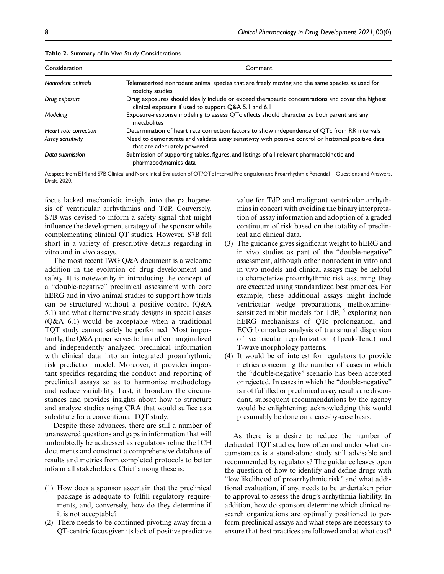| Consideration         | Comment                                                                                                                                                  |  |  |
|-----------------------|----------------------------------------------------------------------------------------------------------------------------------------------------------|--|--|
| Nonrodent animals     | Telemeterized nonrodent animal species that are freely moving and the same species as used for<br>toxicity studies                                       |  |  |
| Drug exposure         | Drug exposures should ideally include or exceed therapeutic concentrations and cover the highest<br>clinical exposure if used to support Q&A 5.1 and 6.1 |  |  |
| Modeling              | Exposure-response modeling to assess QTc effects should characterize both parent and any<br>metabolites                                                  |  |  |
| Heart rate correction | Determination of heart rate correction factors to show independence of QTc from RR intervals                                                             |  |  |
| Assay sensitivity     | Need to demonstrate and validate assay sensitivity with positive control or historical positive data<br>that are adequately powered                      |  |  |
| Data submission       | Submission of supporting tables, figures, and listings of all relevant pharmacokinetic and<br>pharmacodynamics data                                      |  |  |

**Table 2.** Summary of In Vivo Study Considerations

Adapted from E14 and S7B Clinical and Nonclinical Evaluation of QT/QTc Interval Prolongation and Proarrhythmic Potential—Questions and Answers. Draft. 2020.

focus lacked mechanistic insight into the pathogenesis of ventricular arrhythmias and TdP. Conversely, S7B was devised to inform a safety signal that might influence the development strategy of the sponsor while complementing clinical QT studies. However, S7B fell short in a variety of prescriptive details regarding in vitro and in vivo assays.

The most recent IWG Q&A document is a welcome addition in the evolution of drug development and safety. It is noteworthy in introducing the concept of a "double-negative" preclinical assessment with core hERG and in vivo animal studies to support how trials can be structured without a positive control (Q&A 5.1) and what alternative study designs in special cases (Q&A 6.1) would be acceptable when a traditional TQT study cannot safely be performed. Most importantly, the Q&A paper serves to link often marginalized and independently analyzed preclinical information with clinical data into an integrated proarrhythmic risk prediction model. Moreover, it provides important specifics regarding the conduct and reporting of preclinical assays so as to harmonize methodology and reduce variability. Last, it broadens the circumstances and provides insights about how to structure and analyze studies using CRA that would suffice as a substitute for a conventional TQT study.

Despite these advances, there are still a number of unanswered questions and gaps in information that will undoubtedly be addressed as regulators refine the ICH documents and construct a comprehensive database of results and metrics from completed protocols to better inform all stakeholders. Chief among these is:

- (1) How does a sponsor ascertain that the preclinical package is adequate to fulfill regulatory requirements, and, conversely, how do they determine if it is not acceptable?
- (2) There needs to be continued pivoting away from a QT-centric focus given its lack of positive predictive

value for TdP and malignant ventricular arrhythmias in concert with avoiding the binary interpretation of assay information and adoption of a graded continuum of risk based on the totality of preclinical and clinical data.

- (3) The guidance gives significant weight to hERG and in vivo studies as part of the "double-negative" assessment, although other nonrodent in vitro and in vivo models and clinical assays may be helpful to characterize proarrhythmic risk assuming they are executed using standardized best practices. For example, these additional assays might include ventricular wedge preparations, methoxaminesensitized rabbit models for  $TdP<sub>16</sub>$  exploring non hERG mechanisms of QTc prolongation, and ECG biomarker analysis of transmural dispersion of ventricular repolarization (Tpeak-Tend) and T-wave morphology patterns.
- (4) It would be of interest for regulators to provide metrics concerning the number of cases in which the "double-negative" scenario has been accepted or rejected. In cases in which the "double-negative" is not fulfilled or preclinical assay results are discordant, subsequent recommendations by the agency would be enlightening; acknowledging this would presumably be done on a case-by-case basis.

As there is a desire to reduce the number of dedicated TQT studies, how often and under what circumstances is a stand-alone study still advisable and recommended by regulators? The guidance leaves open the question of how to identify and define drugs with "low likelihood of proarrhythmic risk" and what additional evaluation, if any, needs to be undertaken prior to approval to assess the drug's arrhythmia liability. In addition, how do sponsors determine which clinical research organizations are optimally positioned to perform preclinical assays and what steps are necessary to ensure that best practices are followed and at what cost?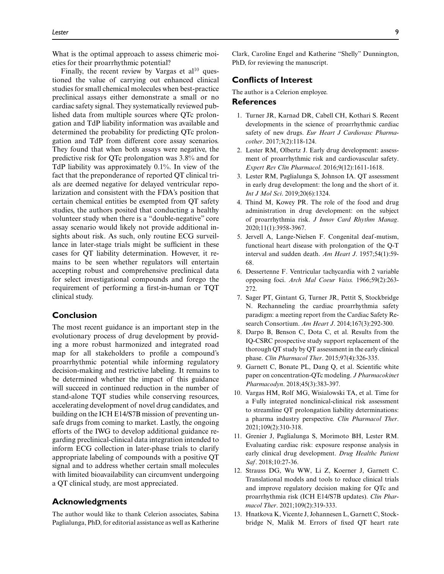What is the optimal approach to assess chimeric moieties for their proarrhythmic potential?

Finally, the recent review by Vargas et  $al^{10}$  questioned the value of carrying out enhanced clinical studies for small chemical molecules when best-practice preclinical assays either demonstrate a small or no cardiac safety signal. They systematically reviewed published data from multiple sources where QTc prolongation and TdP liability information was available and determined the probability for predicting QTc prolongation and TdP from different core assay scenarios. They found that when both assays were negative, the predictive risk for QTc prolongation was 3.8% and for TdP liability was approximately 0.1%. In view of the fact that the preponderance of reported QT clinical trials are deemed negative for delayed ventricular repolarization and consistent with the FDA's position that certain chemical entities be exempted from QT safety studies, the authors posited that conducting a healthy volunteer study when there is a "double-negative" core assay scenario would likely not provide additional insights about risk. As such, only routine ECG surveillance in later-stage trials might be sufficient in these cases for QT liability determination. However, it remains to be seen whether regulators will entertain accepting robust and comprehensive preclinical data for select investigational compounds and forego the requirement of performing a first-in-human or TQT clinical study.

## **Conclusion**

The most recent guidance is an important step in the evolutionary process of drug development by providing a more robust harmonized and integrated road map for all stakeholders to profile a compound's proarrhythmic potential while informing regulatory decision-making and restrictive labeling. It remains to be determined whether the impact of this guidance will succeed in continued reduction in the number of stand-alone TQT studies while conserving resources, accelerating development of novel drug candidates, and building on the ICH E14/S7B mission of preventing unsafe drugs from coming to market. Lastly, the ongoing efforts of the IWG to develop additional guidance regarding preclinical-clinical data integration intended to inform ECG collection in later-phase trials to clarify appropriate labeling of compounds with a positive QT signal and to address whether certain small molecules with limited bioavailability can circumvent undergoing a QT clinical study, are most appreciated.

## **Acknowledgments**

The author would like to thank Celerion associates, Sabina Paglialunga, PhD, for editorial assistance as well as Katherine Clark, Caroline Engel and Katherine "Shelly" Dunnington, PhD, for reviewing the manuscript.

## **Conflicts of Interest**

The author is a Celerion employee.

#### **References**

- 1. Turner JR, Karnad DR, Cabell CH, Kothari S. Recent developments in the science of proarrhythmic cardiac safety of new drugs. *Eur Heart J Cardiovasc Pharmacother*. 2017;3(2):118-124.
- 2. Lester RM, Olbertz J. Early drug development: assessment of proarrhythmic risk and cardiovascular safety. *Expert Rev Clin Pharmacol*. 2016;9(12):1611-1618.
- 3. Lester RM, Paglialunga S, Johnson IA. QT assessment in early drug development: the long and the short of it. *Int J Mol Sci*. 2019;20(6):1324.
- 4. Thind M, Kowey PR. The role of the food and drug administration in drug development: on the subject of proarrhythmia risk. *J Innov Card Rhythm Manag*. 2020;11(1):3958-3967.
- 5. Jervell A, Lange-Nielsen F. Congenital deaf -mutism, functional heart disease with prolongation of the Q-T interval and sudden death. *Am Heart J*. 1957;54(1):59- 68.
- 6. Dessertenne F. Ventricular tachycardia with 2 variable opposing foci. *Arch Mal Coeur Vaiss.* 1966;59(2):263- 272.
- 7. Sager PT, Gintant G, Turner JR, Pettit S, Stockbridge N. Rechanneling the cardiac proarrhythmia safety paradigm: a meeting report from the Cardiac Safety Research Consortium. *Am Heart J*. 2014;167(3):292-300.
- 8. Darpo B, Benson C, Dota C, et al. Results from the IQ-CSRC prospective study support replacement of the thorough QT study by QT assessment in the early clinical phase. *Clin Pharmacol Ther*. 2015;97(4):326-335.
- 9. Garnett C, Bonate PL, Dang Q, et al. Scientific white paper on concentration-QTc modeling. *J Pharmacokinet Pharmacodyn*. 2018;45(3):383-397.
- 10. Vargas HM, Rolf MG, Wisialowski TA, et al. Time for a Fully integrated nonclinical-clinical risk assessment to streamline QT prolongation liability determinations: a pharma industry perspective. *Clin Pharmacol Ther*. 2021;109(2):310-318.
- 11. Grenier J, Paglialunga S, Morimoto BH, Lester RM. Evaluating cardiac risk: exposure response analysis in early clinical drug development. *Drug Healthc Patient Saf*. 2018;10:27-36.
- 12. Strauss DG, Wu WW, Li Z, Koerner J, Garnett C. Translational models and tools to reduce clinical trials and improve regulatory decision making for QTc and proarrhythmia risk (ICH E14/S7B updates). *Clin Pharmacol Ther*. 2021;109(2):319-333.
- 13. Hnatkova K, Vicente J, Johannesen L, Garnett C, Stockbridge N, Malik M. Errors of fixed QT heart rate